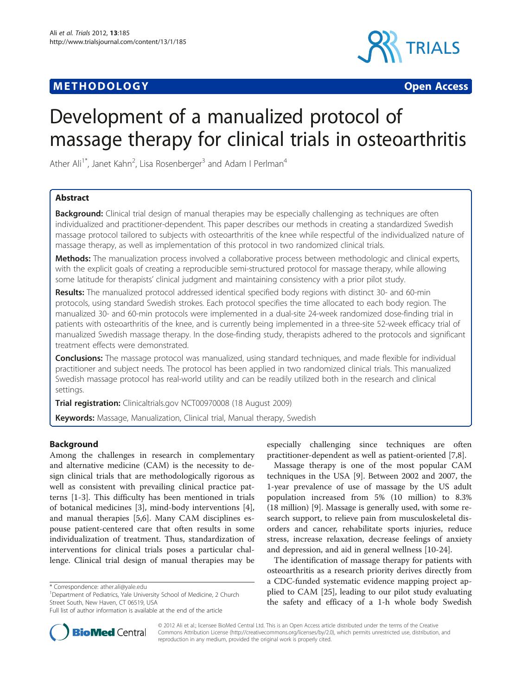## **METHODOLOGY CONSUMING ACCESS**



# Development of a manualized protocol of massage therapy for clinical trials in osteoarthritis

Ather Ali<sup>1\*</sup>, Janet Kahn<sup>2</sup>, Lisa Rosenberger<sup>3</sup> and Adam I Perlman<sup>4</sup>

## Abstract

**Background:** Clinical trial design of manual therapies may be especially challenging as techniques are often individualized and practitioner-dependent. This paper describes our methods in creating a standardized Swedish massage protocol tailored to subjects with osteoarthritis of the knee while respectful of the individualized nature of massage therapy, as well as implementation of this protocol in two randomized clinical trials.

Methods: The manualization process involved a collaborative process between methodologic and clinical experts, with the explicit goals of creating a reproducible semi-structured protocol for massage therapy, while allowing some latitude for therapists' clinical judgment and maintaining consistency with a prior pilot study.

Results: The manualized protocol addressed identical specified body regions with distinct 30- and 60-min protocols, using standard Swedish strokes. Each protocol specifies the time allocated to each body region. The manualized 30- and 60-min protocols were implemented in a dual-site 24-week randomized dose-finding trial in patients with osteoarthritis of the knee, and is currently being implemented in a three-site 52-week efficacy trial of manualized Swedish massage therapy. In the dose-finding study, therapists adhered to the protocols and significant treatment effects were demonstrated.

Conclusions: The massage protocol was manualized, using standard techniques, and made flexible for individual practitioner and subject needs. The protocol has been applied in two randomized clinical trials. This manualized Swedish massage protocol has real-world utility and can be readily utilized both in the research and clinical settings.

Trial registration: Clinicaltrials.gov NCT00970008 (18 August 2009)

Keywords: Massage, Manualization, Clinical trial, Manual therapy, Swedish

## Background

Among the challenges in research in complementary and alternative medicine (CAM) is the necessity to design clinical trials that are methodologically rigorous as well as consistent with prevailing clinical practice patterns [\[1](#page-4-0)-[3\]](#page-4-0). This difficulty has been mentioned in trials of botanical medicines [\[3](#page-4-0)], mind-body interventions [\[4](#page-4-0)], and manual therapies [\[5,6](#page-4-0)]. Many CAM disciplines espouse patient-centered care that often results in some individualization of treatment. Thus, standardization of interventions for clinical trials poses a particular challenge. Clinical trial design of manual therapies may be

<sup>1</sup>Department of Pediatrics, Yale University School of Medicine, 2 Church Street South, New Haven, CT 06519, USA

especially challenging since techniques are often practitioner-dependent as well as patient-oriented [\[7,8](#page-4-0)].

Massage therapy is one of the most popular CAM techniques in the USA [\[9](#page-4-0)]. Between 2002 and 2007, the 1-year prevalence of use of massage by the US adult population increased from 5% (10 million) to 8.3% (18 million) [[9\]](#page-4-0). Massage is generally used, with some research support, to relieve pain from musculoskeletal disorders and cancer, rehabilitate sports injuries, reduce stress, increase relaxation, decrease feelings of anxiety and depression, and aid in general wellness [[10-24\]](#page-4-0).

The identification of massage therapy for patients with osteoarthritis as a research priority derives directly from a CDC-funded systematic evidence mapping project applied to CAM [\[25](#page-4-0)], leading to our pilot study evaluating the safety and efficacy of a 1-h whole body Swedish



© 2012 Ali et al.; licensee BioMed Central Ltd. This is an Open Access article distributed under the terms of the Creative Commons Attribution License [\(http://creativecommons.org/licenses/by/2.0\)](http://creativecommons.org/licenses/by/2.0), which permits unrestricted use, distribution, and reproduction in any medium, provided the original work is properly cited.

<sup>\*</sup> Correspondence: [ather.ali@yale.edu](mailto:ather.ali@yale.edu) <sup>1</sup>

Full list of author information is available at the end of the article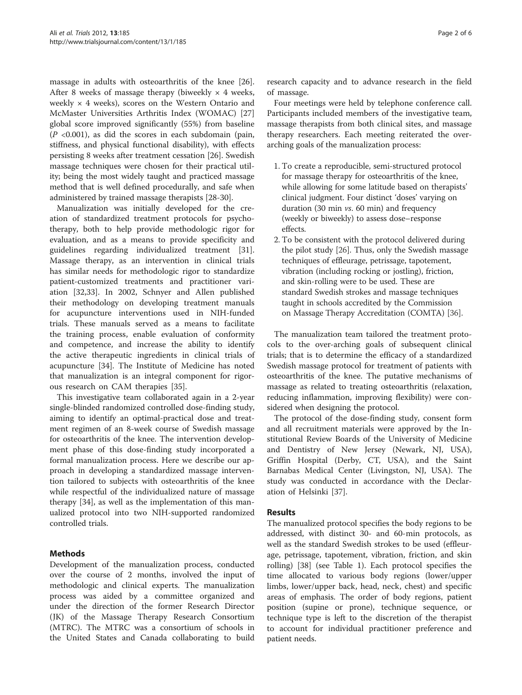massage in adults with osteoarthritis of the knee [\[26](#page-4-0)]. After 8 weeks of massage therapy (biweekly  $\times$  4 weeks, weekly  $\times$  4 weeks), scores on the Western Ontario and McMaster Universities Arthritis Index (WOMAC) [[27](#page-4-0)] global score improved significantly (55%) from baseline  $(P \le 0.001)$ , as did the scores in each subdomain (pain, stiffness, and physical functional disability), with effects persisting 8 weeks after treatment cessation [[26\]](#page-4-0). Swedish massage techniques were chosen for their practical utility; being the most widely taught and practiced massage method that is well defined procedurally, and safe when administered by trained massage therapists [[28-30\]](#page-4-0).

Manualization was initially developed for the creation of standardized treatment protocols for psychotherapy, both to help provide methodologic rigor for evaluation, and as a means to provide specificity and guidelines regarding individualized treatment [\[31](#page-4-0)]. Massage therapy, as an intervention in clinical trials has similar needs for methodologic rigor to standardize patient-customized treatments and practitioner variation [[32,33\]](#page-4-0). In 2002, Schnyer and Allen published their methodology on developing treatment manuals for acupuncture interventions used in NIH-funded trials. These manuals served as a means to facilitate the training process, enable evaluation of conformity and competence, and increase the ability to identify the active therapeutic ingredients in clinical trials of acupuncture [\[34](#page-4-0)]. The Institute of Medicine has noted that manualization is an integral component for rigorous research on CAM therapies [\[35](#page-5-0)].

This investigative team collaborated again in a 2-year single-blinded randomized controlled dose-finding study, aiming to identify an optimal-practical dose and treatment regimen of an 8-week course of Swedish massage for osteoarthritis of the knee. The intervention development phase of this dose-finding study incorporated a formal manualization process. Here we describe our approach in developing a standardized massage intervention tailored to subjects with osteoarthritis of the knee while respectful of the individualized nature of massage therapy [[34\]](#page-4-0), as well as the implementation of this manualized protocol into two NIH-supported randomized controlled trials.

## Methods

Development of the manualization process, conducted over the course of 2 months, involved the input of methodologic and clinical experts. The manualization process was aided by a committee organized and under the direction of the former Research Director (JK) of the Massage Therapy Research Consortium (MTRC). The MTRC was a consortium of schools in the United States and Canada collaborating to build research capacity and to advance research in the field of massage.

Four meetings were held by telephone conference call. Participants included members of the investigative team, massage therapists from both clinical sites, and massage therapy researchers. Each meeting reiterated the overarching goals of the manualization process:

- 1. To create a reproducible, semi-structured protocol for massage therapy for osteoarthritis of the knee, while allowing for some latitude based on therapists' clinical judgment. Four distinct 'doses' varying on duration (30 min vs. 60 min) and frequency (weekly or biweekly) to assess dose–response effects.
- 2. To be consistent with the protocol delivered during the pilot study [\[26\]](#page-4-0). Thus, only the Swedish massage techniques of effleurage, petrissage, tapotement, vibration (including rocking or jostling), friction, and skin-rolling were to be used. These are standard Swedish strokes and massage techniques taught in schools accredited by the Commission on Massage Therapy Accreditation (COMTA) [[36](#page-5-0)].

The manualization team tailored the treatment protocols to the over-arching goals of subsequent clinical trials; that is to determine the efficacy of a standardized Swedish massage protocol for treatment of patients with osteoarthritis of the knee. The putative mechanisms of massage as related to treating osteoarthritis (relaxation, reducing inflammation, improving flexibility) were considered when designing the protocol.

The protocol of the dose-finding study, consent form and all recruitment materials were approved by the Institutional Review Boards of the University of Medicine and Dentistry of New Jersey (Newark, NJ, USA), Griffin Hospital (Derby, CT, USA), and the Saint Barnabas Medical Center (Livingston, NJ, USA). The study was conducted in accordance with the Declaration of Helsinki [\[37](#page-5-0)].

## Results

The manualized protocol specifies the body regions to be addressed, with distinct 30- and 60-min protocols, as well as the standard Swedish strokes to be used (effleurage, petrissage, tapotement, vibration, friction, and skin rolling) [[38](#page-5-0)] (see Table [1\)](#page-2-0). Each protocol specifies the time allocated to various body regions (lower/upper limbs, lower/upper back, head, neck, chest) and specific areas of emphasis. The order of body regions, patient position (supine or prone), technique sequence, or technique type is left to the discretion of the therapist to account for individual practitioner preference and patient needs.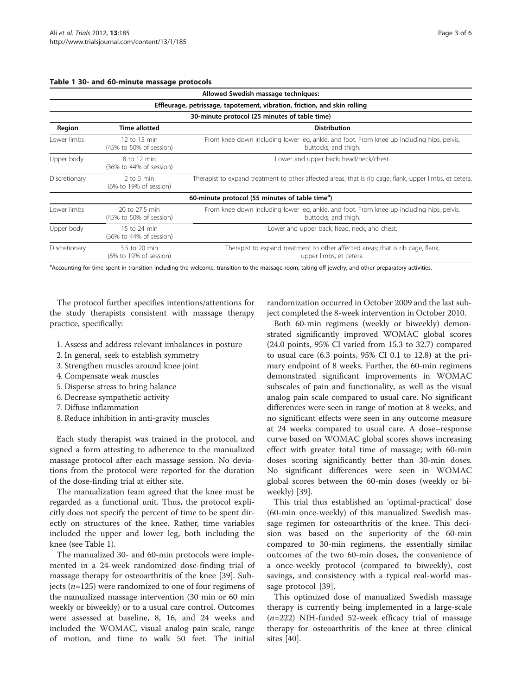<span id="page-2-0"></span>

|  |  |  | Table 1 30- and 60-minute massage protocols |  |  |
|--|--|--|---------------------------------------------|--|--|
|--|--|--|---------------------------------------------|--|--|

| Allowed Swedish massage techniques:<br>Effleurage, petrissage, tapotement, vibration, friction, and skin rolling<br>30-minute protocol (25 minutes of table time) |                                           |                                                                                                                   |  |  |             |                                         |                                                                                                                   |
|-------------------------------------------------------------------------------------------------------------------------------------------------------------------|-------------------------------------------|-------------------------------------------------------------------------------------------------------------------|--|--|-------------|-----------------------------------------|-------------------------------------------------------------------------------------------------------------------|
|                                                                                                                                                                   |                                           |                                                                                                                   |  |  | Region      | <b>Time allotted</b>                    | <b>Distribution</b>                                                                                               |
|                                                                                                                                                                   |                                           |                                                                                                                   |  |  | Lower limbs | 12 to 15 min<br>(45% to 50% of session) | From knee down including lower leg, ankle, and foot. From knee up including hips, pelvis,<br>buttocks, and thigh. |
| Upper body                                                                                                                                                        | 8 to 12 min<br>(36% to 44% of session)    | Lower and upper back; head/neck/chest.                                                                            |  |  |             |                                         |                                                                                                                   |
| Discretionary                                                                                                                                                     | $2$ to 5 min<br>(6% to 19% of session)    | Therapist to expand treatment to other affected areas; that is rib cage, flank, upper limbs, et cetera.           |  |  |             |                                         |                                                                                                                   |
|                                                                                                                                                                   |                                           | 60-minute protocol (55 minutes of table time <sup>a</sup> )                                                       |  |  |             |                                         |                                                                                                                   |
| Lower limbs                                                                                                                                                       | 20 to 27.5 min<br>(45% to 50% of session) | From knee down including lower leg, ankle, and foot. From knee up including hips, pelvis,<br>buttocks, and thigh. |  |  |             |                                         |                                                                                                                   |
| Upper body                                                                                                                                                        | 15 to 24 min<br>(36% to 44% of session)   | Lower and upper back; head, neck, and chest.                                                                      |  |  |             |                                         |                                                                                                                   |
| Discretionary                                                                                                                                                     | 3.5 to 20 min<br>(6% to 19% of session)   | Therapist to expand treatment to other affected areas; that is rib cage, flank,<br>upper limbs, et cetera.        |  |  |             |                                         |                                                                                                                   |

<sup>a</sup>Accounting for time spent in transition including the welcome, transition to the massage room, taking off jewelry, and other preparatory activities.

The protocol further specifies intentions/attentions for the study therapists consistent with massage therapy practice, specifically:

- 1. Assess and address relevant imbalances in posture
- 2. In general, seek to establish symmetry
- 3. Strengthen muscles around knee joint
- 4. Compensate weak muscles
- 5. Disperse stress to bring balance
- 6. Decrease sympathetic activity
- 7. Diffuse inflammation
- 8. Reduce inhibition in anti-gravity muscles

Each study therapist was trained in the protocol, and signed a form attesting to adherence to the manualized massage protocol after each massage session. No deviations from the protocol were reported for the duration of the dose-finding trial at either site.

The manualization team agreed that the knee must be regarded as a functional unit. Thus, the protocol explicitly does not specify the percent of time to be spent directly on structures of the knee. Rather, time variables included the upper and lower leg, both including the knee (see Table 1).

The manualized 30- and 60-min protocols were implemented in a 24-week randomized dose-finding trial of massage therapy for osteoarthritis of the knee [\[39\]](#page-5-0). Subjects ( $n=125$ ) were randomized to one of four regimens of the manualized massage intervention (30 min or 60 min weekly or biweekly) or to a usual care control. Outcomes were assessed at baseline, 8, 16, and 24 weeks and included the WOMAC, visual analog pain scale, range of motion, and time to walk 50 feet. The initial

randomization occurred in October 2009 and the last subject completed the 8-week intervention in October 2010.

Both 60-min regimens (weekly or biweekly) demonstrated significantly improved WOMAC global scores (24.0 points, 95% CI varied from 15.3 to 32.7) compared to usual care (6.3 points, 95% CI 0.1 to 12.8) at the primary endpoint of 8 weeks. Further, the 60-min regimens demonstrated significant improvements in WOMAC subscales of pain and functionality, as well as the visual analog pain scale compared to usual care. No significant differences were seen in range of motion at 8 weeks, and no significant effects were seen in any outcome measure at 24 weeks compared to usual care. A dose–response curve based on WOMAC global scores shows increasing effect with greater total time of massage; with 60-min doses scoring significantly better than 30-min doses. No significant differences were seen in WOMAC global scores between the 60-min doses (weekly or biweekly) [[39](#page-5-0)].

This trial thus established an 'optimal-practical' dose (60-min once-weekly) of this manualized Swedish massage regimen for osteoarthritis of the knee. This decision was based on the superiority of the 60-min compared to 30-min regimens, the essentially similar outcomes of the two 60-min doses, the convenience of a once-weekly protocol (compared to biweekly), cost savings, and consistency with a typical real-world massage protocol [\[39](#page-5-0)].

This optimized dose of manualized Swedish massage therapy is currently being implemented in a large-scale  $(n=222)$  NIH-funded 52-week efficacy trial of massage therapy for osteoarthritis of the knee at three clinical sites [[40](#page-5-0)].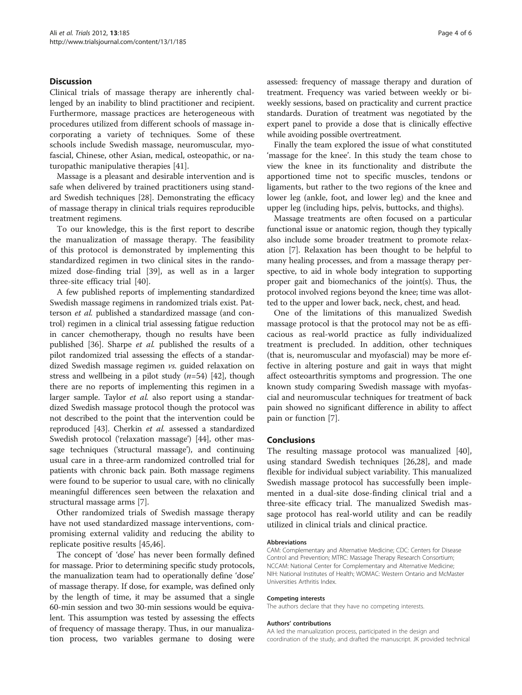## Discussion

Clinical trials of massage therapy are inherently challenged by an inability to blind practitioner and recipient. Furthermore, massage practices are heterogeneous with procedures utilized from different schools of massage incorporating a variety of techniques. Some of these schools include Swedish massage, neuromuscular, myofascial, Chinese, other Asian, medical, osteopathic, or naturopathic manipulative therapies [[41](#page-5-0)].

Massage is a pleasant and desirable intervention and is safe when delivered by trained practitioners using standard Swedish techniques [[28\]](#page-4-0). Demonstrating the efficacy of massage therapy in clinical trials requires reproducible treatment regimens.

To our knowledge, this is the first report to describe the manualization of massage therapy. The feasibility of this protocol is demonstrated by implementing this standardized regimen in two clinical sites in the randomized dose-finding trial [\[39\]](#page-5-0), as well as in a larger three-site efficacy trial [[40\]](#page-5-0).

A few published reports of implementing standardized Swedish massage regimens in randomized trials exist. Patterson et al. published a standardized massage (and control) regimen in a clinical trial assessing fatigue reduction in cancer chemotherapy, though no results have been published [\[36\]](#page-5-0). Sharpe et al. published the results of a pilot randomized trial assessing the effects of a standardized Swedish massage regimen vs. guided relaxation on stress and wellbeing in a pilot study  $(n=54)$  [\[42](#page-5-0)], though there are no reports of implementing this regimen in a larger sample. Taylor et al. also report using a standardized Swedish massage protocol though the protocol was not described to the point that the intervention could be reproduced [\[43\]](#page-5-0). Cherkin et al. assessed a standardized Swedish protocol ('relaxation massage') [\[44\]](#page-5-0), other massage techniques ('structural massage'), and continuing usual care in a three-arm randomized controlled trial for patients with chronic back pain. Both massage regimens were found to be superior to usual care, with no clinically meaningful differences seen between the relaxation and structural massage arms [\[7\]](#page-4-0).

Other randomized trials of Swedish massage therapy have not used standardized massage interventions, compromising external validity and reducing the ability to replicate positive results [[45,46](#page-5-0)].

The concept of 'dose' has never been formally defined for massage. Prior to determining specific study protocols, the manualization team had to operationally define 'dose' of massage therapy. If dose, for example, was defined only by the length of time, it may be assumed that a single 60-min session and two 30-min sessions would be equivalent. This assumption was tested by assessing the effects of frequency of massage therapy. Thus, in our manualization process, two variables germane to dosing were assessed: frequency of massage therapy and duration of treatment. Frequency was varied between weekly or biweekly sessions, based on practicality and current practice standards. Duration of treatment was negotiated by the expert panel to provide a dose that is clinically effective while avoiding possible overtreatment.

Finally the team explored the issue of what constituted 'massage for the knee'. In this study the team chose to view the knee in its functionality and distribute the apportioned time not to specific muscles, tendons or ligaments, but rather to the two regions of the knee and lower leg (ankle, foot, and lower leg) and the knee and upper leg (including hips, pelvis, buttocks, and thighs).

Massage treatments are often focused on a particular functional issue or anatomic region, though they typically also include some broader treatment to promote relaxation [[7](#page-4-0)]. Relaxation has been thought to be helpful to many healing processes, and from a massage therapy perspective, to aid in whole body integration to supporting proper gait and biomechanics of the joint(s). Thus, the protocol involved regions beyond the knee; time was allotted to the upper and lower back, neck, chest, and head.

One of the limitations of this manualized Swedish massage protocol is that the protocol may not be as efficacious as real-world practice as fully individualized treatment is precluded. In addition, other techniques (that is, neuromuscular and myofascial) may be more effective in altering posture and gait in ways that might affect osteoarthritis symptoms and progression. The one known study comparing Swedish massage with myofascial and neuromuscular techniques for treatment of back pain showed no significant difference in ability to affect pain or function [\[7](#page-4-0)].

### Conclusions

The resulting massage protocol was manualized [\[40](#page-5-0)], using standard Swedish techniques [[26](#page-4-0),[28](#page-4-0)], and made flexible for individual subject variability. This manualized Swedish massage protocol has successfully been implemented in a dual-site dose-finding clinical trial and a three-site efficacy trial. The manualized Swedish massage protocol has real-world utility and can be readily utilized in clinical trials and clinical practice.

#### Abbreviations

CAM: Complementary and Alternative Medicine; CDC: Centers for Disease Control and Prevention; MTRC: Massage Therapy Research Consortium; NCCAM: National Center for Complementary and Alternative Medicine; NIH: National Institutes of Health; WOMAC: Western Ontario and McMaster Universities Arthritis Index.

#### Competing interests

The authors declare that they have no competing interests.

#### Authors' contributions

AA led the manualization process, participated in the design and coordination of the study, and drafted the manuscript. JK provided technical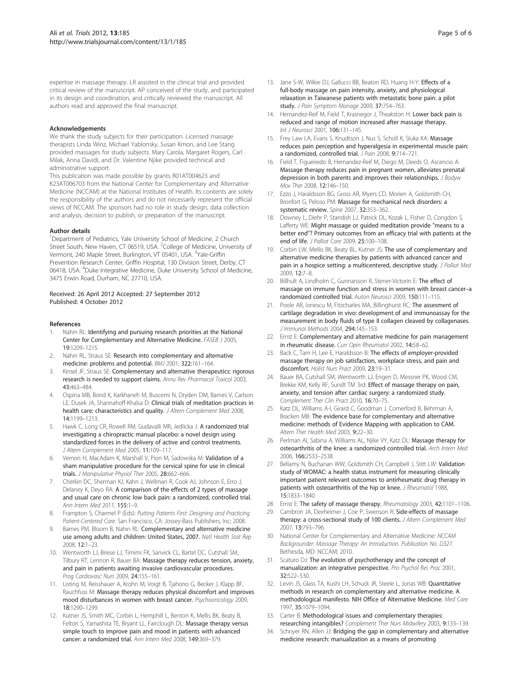<span id="page-4-0"></span>expertise in massage therapy. LR assisted in the clinical trial and provided critical review of the manuscript. AP conceived of the study, and participated in its design and coordination, and critically reviewed the manuscript. All authors read and approved the final manuscript.

#### Acknowledgements

We thank the study subjects for their participation. Licensed massage therapists Linda Winz, Michael Yablonsky, Susan Kmon, and Lee Stang provided massages for study subjects. Mary Carola, Margaret Rogers, Carl Milak, Anna Davidi, and Dr. Valentine Njike provided technical and administrative support.

This publication was made possible by grants R01AT004623 and K23AT006703 from the National Center for Complementary and Alternative Medicine (NCCAM) at the National Institutes of Health. Its contents are solely the responsibility of the authors and do not necessarily represent the official views of NCCAM. The sponsors had no role in study design, data collection and analysis, decision to publish, or preparation of the manuscript.

#### Author details

<sup>1</sup>Department of Pediatrics, Yale University School of Medicine, 2 Church Street South, New Haven, CT 06519, USA. <sup>2</sup>College of Medicine, University of Vermont, 240 Maple Street, Burlington, VT 05401, USA. <sup>3</sup>Yale-Griffin Prevention Research Center, Griffin Hospital, 130 Division Street, Derby, CT 06418, USA. <sup>4</sup>Duke Integrative Medicine, Duke University School of Medicine, 3475 Erwin Road, Durham, NC 27710, USA.

#### Received: 26 April 2012 Accepted: 27 September 2012 Published: 4 October 2012

#### References

- Nahin RL: Identifying and pursuing research priorities at the National Center for Complementary and Alternative Medicine. FASEB J 2005, 19:1209–1215.
- 2. Nahin RL, Straus SE: Research into complementary and alternative medicine: problems and potential. BMJ 2001, 322:161–164.
- 3. Kinsel JF, Straus SE: Complementary and alternative therapeutics: rigorous research is needed to support claims. Annu Rev Pharmacol Toxicol 2003, 43:463–484.
- 4. Ospina MB, Bond K, Karkhaneh M, Buscemi N, Dryden DM, Barnes V, Carlson LE, Dusek JA, Shannahoff-Khalsa D: Clinical trials of meditation practices in health care: characteristics and quality. J Altern Complement Med 2008, 14:1199–1213.
- Hawk C, Long CR, Rowell RM, Gudavalli MR, Jedlicka J: A randomized trial investigating a chiropractic manual placebo: a novel design using standardized forces in the delivery of active and control treatments. J Altern Complement Med 2005, 11:109–117.
- Vernon H, MacAdam K, Marshall V, Pion M, Sadowska M: Validation of a sham manipulative procedure for the cervical spine for use in clinical trials. J Manipulative Physiol Ther 2005, 28:662-666.
- 7. Cherkin DC, Sherman KJ, Kahn J, Wellman R, Cook AJ, Johnson E, Erro J, Delaney K, Deyo RA: A comparison of the effects of 2 types of massage and usual care on chronic low back pain: a randomized, controlled trial. Ann Intern Med 2011, 155:1–9.
- Frampton S, Charmel P (Eds): Putting Patients First: Designing and Practicing Patient-Centered Care. San Francisco, CA: Jossey-Bass Publishers, Inc; 2008.
- 9. Barnes PM, Bloom B, Nahin RL: Complementary and alternative medicine use among adults and children: United States, 2007. Natl Health Stat Rep 2008, 12:1–23.
- 10. Wentworth LJ, Briese LJ, Timimi FK, Sanvick CL, Bartel DC, Cutshall SM, Tilbury RT, Lennon R, Bauer BA: Massage therapy reduces tension, anxiety, and pain in patients awaiting invasive cardiovascular procedures. Prog Cardiovasc Nurs 2009, 24:155–161.
- 11. Listing M, Reisshauer A, Krohn M, Voigt B, Tjahono G, Becker J, Klapp BF, Rauchfuss M: Massage therapy reduces physical discomfort and improves mood disturbances in women with breast cancer. Psychooncology 2009, 18:1290–1299.
- 12. Kutner JS, Smith MC, Corbin L, Hemphill L, Benton K, Mellis BK, Beaty B, Felton S, Yamashita TE, Bryant LL, Fairclough DL: Massage therapy versus simple touch to improve pain and mood in patients with advanced cancer: a randomized trial. Ann Intern Med 2008, 149:369–379.
- 13. Jane S-W, Wilkie DJ, Gallucci BB, Beaton RD, Huang H-Y: Effects of a full-body massage on pain intensity, anxiety, and physiological relaxation in Taiwanese patients with metastatic bone pain: a pilot study. J Pain Symptom Manage 2009, 37:754-763.
- 14. Hernandez-Reif M, Field T, Krasnegor J, Theakston H: Lower back pain is reduced and range of motion increased after massage therapy. Int J Neurosci 2001, 106:131–145.
- 15. Frey Law LA, Evans S, Knudtson J, Nus S, Scholl K, Sluka KA: Massage reduces pain perception and hyperalgesia in experimental muscle pain: a randomized, controlled trial. J Pain 2008, 9:714–721.
- 16. Field T, Figueiredo B, Hernandez-Reif M, Diego M, Deeds O, Ascencio A: Massage therapy reduces pain in pregnant women, alleviates prenatal depression in both parents and improves their relationships. J Bodyw Mov Ther 2008, 12:146–150.
- 17. Ezzo J, Haraldsson BG, Gross AR, Myers CD, Morien A, Goldsmith CH, Bronfort G, Peloso PM: Massage for mechanical neck disorders: a systematic review. Spine 2007, 32:353–362.
- 18. Downey L, Diehr P, Standish LJ, Patrick DL, Kozak L, Fisher D, Congdon S, Lafferty WF: Might massage or guided meditation provide "means to a better end"? Primary outcomes from an efficacy trial with patients at the end of life. J Palliat Care 2009, 25:100–108.
- 19. Corbin LW, Mellis BK, Beaty BL, Kutner JS: The use of complementary and alternative medicine therapies by patients with advanced cancer and pain in a hospice setting: a multicentered, descriptive study. J Palliat Med 2009, 12:7–8.
- 20. Billhult A, Lindholm C, Gunnarsson R, Stener-Victorin E: The effect of massage on immune function and stress in women with breast cancer–a randomized controlled trial. Auton Neurosci 2009, 150:111–115.
- 21. Poole AR, Ionescu M, Fitzcharles MA, Billinghurst RC: The assesment of cartilage degradation in vivo: development of and immunoassay for the measurement in body fluids of type II collagen cleaved by collagenases. J Immunol Methods 2004, 294:145–153.
- 22. Ernst E: Complementary and alternative medicine for pain management in rheumatic disease. Curr Opin Rheumatol 2002, 14:58–62.
- 23. Back C, Tam H, Lee E, Haraldsson B: The effects of employer-provided massage therapy on job satisfaction, workplace stress, and pain and discomfort. Holist Nurs Pract 2009, 23:19–31.
- 24. Bauer BA, Cutshall SM, Wentworth LJ, Engen D, Messner PK, Wood CM, Brekke KM, Kelly RF, Sundt TM 3rd: Effect of massage therapy on pain, anxiety, and tension after cardiac surgery: a randomized study. Complement Ther Clin Pract 2010, 16:70–75.
- 25. Katz DL, Williams A-l, Girard C, Goodman J, Comerford B, Behrman A, Bracken MB: The evidence base for complementary and alternative medicine: methods of Evidence Mapping with application to CAM. Altern Ther Health Med 2003, 9:22–30.
- 26. Perlman AI, Sabina A, Williams AL, Nijke VY, Katz DL: Massage therapy for osteoarthritis of the knee: a randomized controlled trial. Arch Intern Med 2006, 166:2533–2538.
- 27. Bellamy N, Buchanan WW, Goldsmith CH, Campbell J, Stitt LW: Validation study of WOMAC: a health status instrument for measuring clinically important patient relevant outcomes to antirheumatic drug therapy in patients with osteoarthritis of the hip or knee. J Rheumatol 1988, 15:1833–1840.
- 28. Ernst E: The safety of massage therapy. Rheumatology 2003, 42:1101-1106.
- 29. Cambron JA, Dexheimer J, Coe P, Swenson R: Side-effects of massage therapy: a cross-sectional study of 100 clients. J Altern Complement Med 2007, 13:793–796.
- 30. National Center for Complementary and Alternative Medicine: NCCAM Backgrounder: Massage Therapy: An Introduction. Publication No. D327. Bethesda, MD: NCCAM; 2010.
- 31. Scaturo DJ: The evolution of psychotherapy and the concept of manualization: an integrative perspective. Pro Psychol Res Prac 2001, 32:522–530.
- 32. Levin JS, Glass TA, Kushi LH, Schuck JR, Steele L, Jonas WB: Quantitative methods in research on complementary and alternative medicine. A methodological manifesto. NIH Office of Alternative Medicine. Med Care 1997, 35:1079–1094.
- 33. Carter B: Methodological issues and complementary therapies: researching intangibles? Complement Ther Nurs Midwifery 2003, 9:133–139.
- 34. Schnyer RN, Allen JJ: Bridging the gap in complementary and alternative medicine research: manualization as a means of promoting